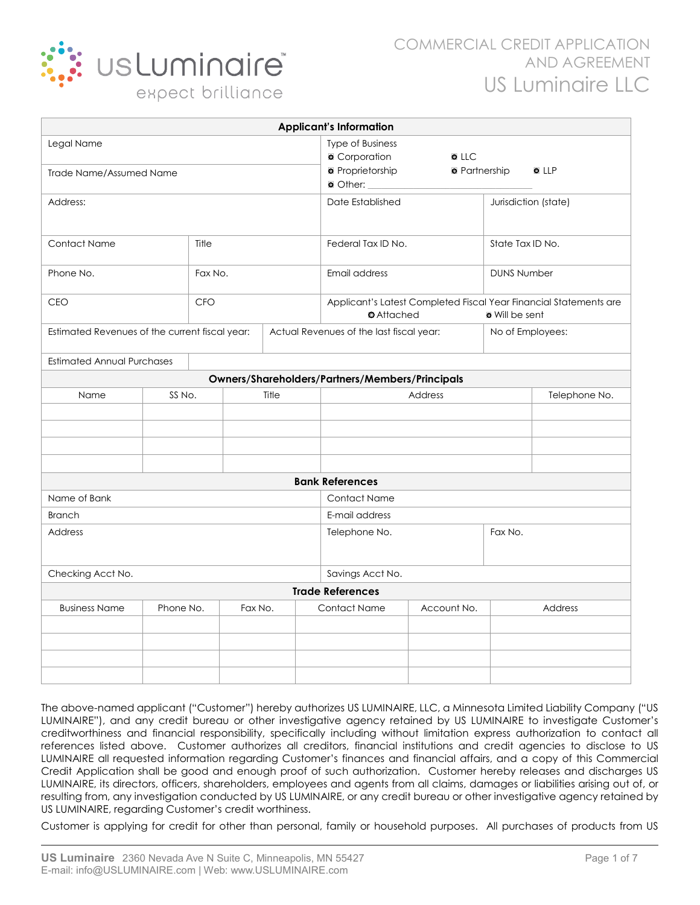

| <b>Applicant's Information</b>                  |            |         |                                                                                        |                                          |                     |                                                                                                     |                                     |                      |       |
|-------------------------------------------------|------------|---------|----------------------------------------------------------------------------------------|------------------------------------------|---------------------|-----------------------------------------------------------------------------------------------------|-------------------------------------|----------------------|-------|
| Legal Name<br><b>Trade Name/Assumed Name</b>    |            |         |                                                                                        |                                          |                     | <b>Type of Business</b><br><b>Corporation</b><br><b>•</b> Proprietorship<br>$\bullet$ Other: $\_\_$ | <b>OLLC</b><br><b>O</b> Partnership |                      | O LLP |
| Address:                                        |            |         |                                                                                        |                                          |                     | Date Established                                                                                    |                                     | Jurisdiction (state) |       |
| Title<br><b>Contact Name</b>                    |            |         |                                                                                        |                                          |                     | Federal Tax ID No.                                                                                  |                                     | State Tax ID No.     |       |
| Phone No.                                       |            | Fax No. |                                                                                        |                                          | Email address       |                                                                                                     | <b>DUNS Number</b>                  |                      |       |
| <b>CEO</b>                                      | <b>CFO</b> |         | Applicant's Latest Completed Fiscal Year Financial Statements are<br><b>O</b> Attached |                                          |                     | <b>o</b> Will be sent                                                                               |                                     |                      |       |
| Estimated Revenues of the current fiscal year:  |            |         |                                                                                        | Actual Revenues of the last fiscal year: |                     | No of Employees:                                                                                    |                                     |                      |       |
| <b>Estimated Annual Purchases</b>               |            |         |                                                                                        |                                          |                     |                                                                                                     |                                     |                      |       |
| Owners/Shareholders/Partners/Members/Principals |            |         |                                                                                        |                                          |                     |                                                                                                     |                                     |                      |       |
| Name                                            | SS No.     |         |                                                                                        | Title<br>Address                         |                     |                                                                                                     |                                     | Telephone No.        |       |
|                                                 |            |         |                                                                                        |                                          |                     |                                                                                                     |                                     |                      |       |
|                                                 |            |         |                                                                                        |                                          |                     |                                                                                                     |                                     |                      |       |
|                                                 |            |         |                                                                                        |                                          |                     |                                                                                                     |                                     |                      |       |
|                                                 |            |         |                                                                                        |                                          |                     |                                                                                                     |                                     |                      |       |
|                                                 |            |         |                                                                                        |                                          |                     | <b>Bank References</b>                                                                              |                                     |                      |       |
| Name of Bank                                    |            |         |                                                                                        |                                          | <b>Contact Name</b> |                                                                                                     |                                     |                      |       |
| <b>Branch</b>                                   |            |         |                                                                                        |                                          | E-mail address      |                                                                                                     |                                     |                      |       |
| Address                                         |            |         |                                                                                        |                                          | Telephone No.       |                                                                                                     | Fax No.                             |                      |       |
| Checking Acct No.                               |            |         |                                                                                        | Savings Acct No.                         |                     |                                                                                                     |                                     |                      |       |
| <b>Trade References</b>                         |            |         |                                                                                        |                                          |                     |                                                                                                     |                                     |                      |       |
| <b>Business Name</b>                            | Phone No.  |         | Fax No.                                                                                |                                          |                     | <b>Contact Name</b><br>Account No.                                                                  |                                     | Address              |       |
|                                                 |            |         |                                                                                        |                                          |                     |                                                                                                     |                                     |                      |       |
|                                                 |            |         |                                                                                        |                                          |                     |                                                                                                     |                                     |                      |       |
|                                                 |            |         |                                                                                        |                                          |                     |                                                                                                     |                                     |                      |       |
|                                                 |            |         |                                                                                        |                                          |                     |                                                                                                     |                                     |                      |       |

The above-named applicant ("Customer") hereby authorizes US LUMINAIRE, LLC, a Minnesota Limited Liability Company ("US LUMINAIRE"), and any credit bureau or other investigative agency retained by US LUMINAIRE to investigate Customer's creditworthiness and financial responsibility, specifically including without limitation express authorization to contact all references listed above. Customer authorizes all creditors, financial institutions and credit agencies to disclose to US LUMINAIRE all requested information regarding Customer's finances and financial affairs, and a copy of this Commercial Credit Application shall be good and enough proof of such authorization. Customer hereby releases and discharges US LUMINAIRE, its directors, officers, shareholders, employees and agents from all claims, damages or liabilities arising out of, or resulting from, any investigation conducted by US LUMINAIRE, or any credit bureau or other investigative agency retained by US LUMINAIRE, regarding Customer's credit worthiness.

Customer is applying for credit for other than personal, family or household purposes. All purchases of products from US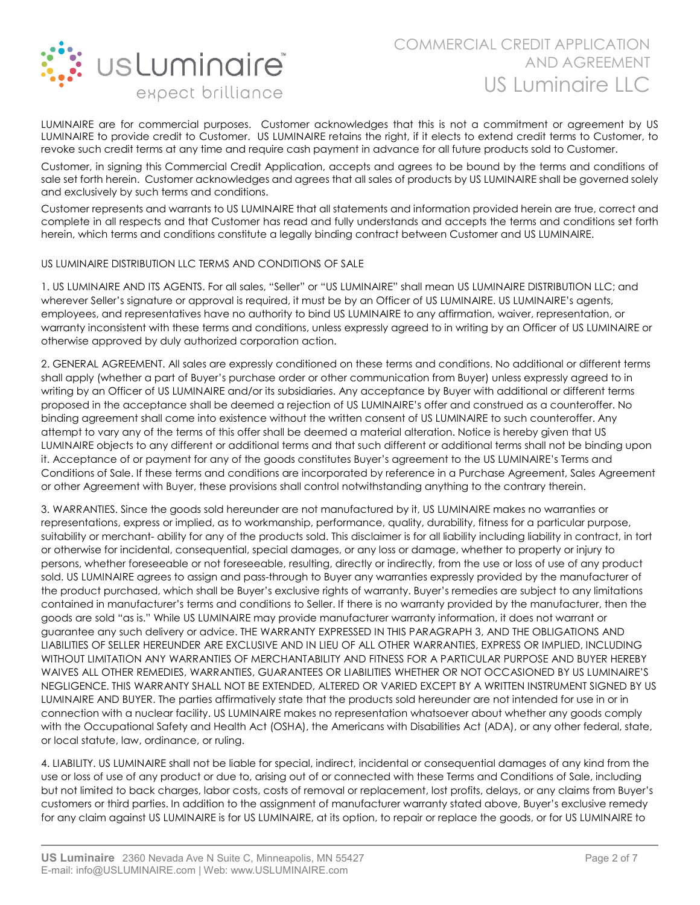

LUMINAIRE are for commercial purposes. Customer acknowledges that this is not a commitment or agreement by US LUMINAIRE to provide credit to Customer. US LUMINAIRE retains the right, if it elects to extend credit terms to Customer, to revoke such credit terms at any time and require cash payment in advance for all future products sold to Customer.

Customer, in signing this Commercial Credit Application, accepts and agrees to be bound by the terms and conditions of sale set forth herein. Customer acknowledges and agrees that all sales of products by US LUMINAIRE shall be governed solely and exclusively by such terms and conditions.

Customer represents and warrants to US LUMINAIRE that all statements and information provided herein are true, correct and complete in all respects and that Customer has read and fully understands and accepts the terms and conditions set forth herein, which terms and conditions constitute a legally binding contract between Customer and US LUMINAIRE.

#### US LUMINAIRE DISTRIBUTION LLC TERMS AND CONDITIONS OF SALE

1. US LUMINAIRE AND ITS AGENTS. For all sales, "Seller" or "US LUMINAIRE" shall mean US LUMINAIRE DISTRIBUTION LLC; and wherever Seller's signature or approval is required, it must be by an Officer of US LUMINAIRE. US LUMINAIRE's agents, employees, and representatives have no authority to bind US LUMINAIRE to any affirmation, waiver, representation, or warranty inconsistent with these terms and conditions, unless expressly agreed to in writing by an Officer of US LUMINAIRE or otherwise approved by duly authorized corporation action.

2. GENERAL AGREEMENT. All sales are expressly conditioned on these terms and conditions. No additional or different terms shall apply (whether a part of Buyer's purchase order or other communication from Buyer) unless expressly agreed to in writing by an Officer of US LUMINAIRE and/or its subsidiaries. Any acceptance by Buyer with additional or different terms proposed in the acceptance shall be deemed a rejection of US LUMINAIRE's offer and construed as a counteroffer. No binding agreement shall come into existence without the written consent of US LUMINAIRE to such counteroffer. Any attempt to vary any of the terms of this offer shall be deemed a material alteration. Notice is hereby given that US LUMINAIRE objects to any different or additional terms and that such different or additional terms shall not be binding upon it. Acceptance of or payment for any of the goods constitutes Buyer's agreement to the US LUMINAIRE's Terms and Conditions of Sale. If these terms and conditions are incorporated by reference in a Purchase Agreement, Sales Agreement or other Agreement with Buyer, these provisions shall control notwithstanding anything to the contrary therein.

3. WARRANTIES. Since the goods sold hereunder are not manufactured by it, US LUMINAIRE makes no warranties or representations, express or implied, as to workmanship, performance, quality, durability, fitness for a particular purpose, suitability or merchant- ability for any of the products sold. This disclaimer is for all liability including liability in contract, in tort or otherwise for incidental, consequential, special damages, or any loss or damage, whether to property or injury to persons, whether foreseeable or not foreseeable, resulting, directly or indirectly, from the use or loss of use of any product sold. US LUMINAIRE agrees to assign and pass-through to Buyer any warranties expressly provided by the manufacturer of the product purchased, which shall be Buyer's exclusive rights of warranty. Buyer's remedies are subject to any limitations contained in manufacturer's terms and conditions to Seller. If there is no warranty provided by the manufacturer, then the goods are sold "as is." While US LUMINAIRE may provide manufacturer warranty information, it does not warrant or guarantee any such delivery or advice. THE WARRANTY EXPRESSED IN THIS PARAGRAPH 3, AND THE OBLIGATIONS AND LIABILITIES OF SELLER HEREUNDER ARE EXCLUSIVE AND IN LIEU OF ALL OTHER WARRANTIES, EXPRESS OR IMPLIED, INCLUDING WITHOUT LIMITATION ANY WARRANTIES OF MERCHANTABILITY AND FITNESS FOR A PARTICULAR PURPOSE AND BUYER HEREBY WAIVES ALL OTHER REMEDIES, WARRANTIES, GUARANTEES OR LIABILITIES WHETHER OR NOT OCCASIONED BY US LUMINAIRE'S NEGLIGENCE. THIS WARRANTY SHALL NOT BE EXTENDED, ALTERED OR VARIED EXCEPT BY A WRITTEN INSTRUMENT SIGNED BY US LUMINAIRE AND BUYER. The parties affirmatively state that the products sold hereunder are not intended for use in or in connection with a nuclear facility. US LUMINAIRE makes no representation whatsoever about whether any goods comply with the Occupational Safety and Health Act (OSHA), the Americans with Disabilities Act (ADA), or any other federal, state, or local statute, law, ordinance, or ruling.

4. LIABILITY. US LUMINAIRE shall not be liable for special, indirect, incidental or consequential damages of any kind from the use or loss of use of any product or due to, arising out of or connected with these Terms and Conditions of Sale, including but not limited to back charges, labor costs, costs of removal or replacement, lost profits, delays, or any claims from Buyer's customers or third parties. In addition to the assignment of manufacturer warranty stated above, Buyer's exclusive remedy for any claim against US LUMINAIRE is for US LUMINAIRE, at its option, to repair or replace the goods, or for US LUMINAIRE to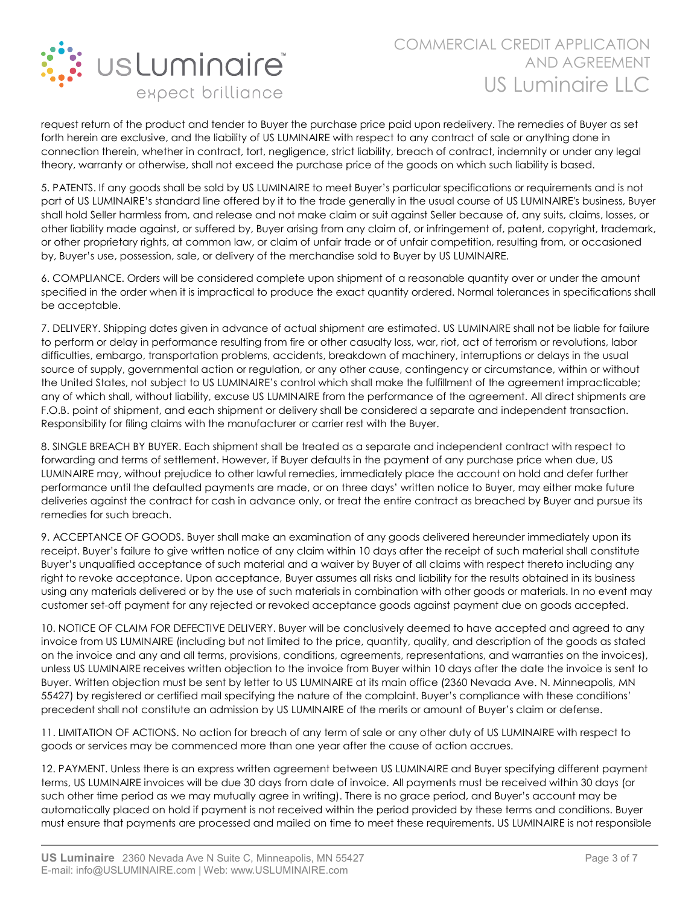

request return of the product and tender to Buyer the purchase price paid upon redelivery. The remedies of Buyer as set forth herein are exclusive, and the liability of US LUMINAIRE with respect to any contract of sale or anything done in connection therein, whether in contract, tort, negligence, strict liability, breach of contract, indemnity or under any legal theory, warranty or otherwise, shall not exceed the purchase price of the goods on which such liability is based.

5. PATENTS. If any goods shall be sold by US LUMINAIRE to meet Buyer's particular specifications or requirements and is not part of US LUMINAIRE's standard line offered by it to the trade generally in the usual course of US LUMINAIRE's business, Buyer shall hold Seller harmless from, and release and not make claim or suit against Seller because of, any suits, claims, losses, or other liability made against, or suffered by, Buyer arising from any claim of, or infringement of, patent, copyright, trademark, or other proprietary rights, at common law, or claim of unfair trade or of unfair competition, resulting from, or occasioned by, Buyer's use, possession, sale, or delivery of the merchandise sold to Buyer by US LUMINAIRE.

6. COMPLIANCE. Orders will be considered complete upon shipment of a reasonable quantity over or under the amount specified in the order when it is impractical to produce the exact quantity ordered. Normal tolerances in specifications shall be acceptable.

7. DELIVERY. Shipping dates given in advance of actual shipment are estimated. US LUMINAIRE shall not be liable for failure to perform or delay in performance resulting from fire or other casualty loss, war, riot, act of terrorism or revolutions, labor difficulties, embargo, transportation problems, accidents, breakdown of machinery, interruptions or delays in the usual source of supply, governmental action or regulation, or any other cause, contingency or circumstance, within or without the United States, not subject to US LUMINAIRE's control which shall make the fulfillment of the agreement impracticable; any of which shall, without liability, excuse US LUMINAIRE from the performance of the agreement. All direct shipments are F.O.B. point of shipment, and each shipment or delivery shall be considered a separate and independent transaction. Responsibility for filing claims with the manufacturer or carrier rest with the Buyer.

8. SINGLE BREACH BY BUYER. Each shipment shall be treated as a separate and independent contract with respect to forwarding and terms of settlement. However, if Buyer defaults in the payment of any purchase price when due, US LUMINAIRE may, without prejudice to other lawful remedies, immediately place the account on hold and defer further performance until the defaulted payments are made, or on three days' written notice to Buyer, may either make future deliveries against the contract for cash in advance only, or treat the entire contract as breached by Buyer and pursue its remedies for such breach.

9. ACCEPTANCE OF GOODS. Buyer shall make an examination of any goods delivered hereunder immediately upon its receipt. Buyer's failure to give written notice of any claim within 10 days after the receipt of such material shall constitute Buyer's unqualified acceptance of such material and a waiver by Buyer of all claims with respect thereto including any right to revoke acceptance. Upon acceptance, Buyer assumes all risks and liability for the results obtained in its business using any materials delivered or by the use of such materials in combination with other goods or materials. In no event may customer set-off payment for any rejected or revoked acceptance goods against payment due on goods accepted.

10. NOTICE OF CLAIM FOR DEFECTIVE DELIVERY. Buyer will be conclusively deemed to have accepted and agreed to any invoice from US LUMINAIRE (including but not limited to the price, quantity, quality, and description of the goods as stated on the invoice and any and all terms, provisions, conditions, agreements, representations, and warranties on the invoices), unless US LUMINAIRE receives written objection to the invoice from Buyer within 10 days after the date the invoice is sent to Buyer. Written objection must be sent by letter to US LUMINAIRE at its main office (2360 Nevada Ave. N. Minneapolis, MN 55427) by registered or certified mail specifying the nature of the complaint. Buyer's compliance with these conditions' precedent shall not constitute an admission by US LUMINAIRE of the merits or amount of Buyer's claim or defense.

11. LIMITATION OF ACTIONS. No action for breach of any term of sale or any other duty of US LUMINAIRE with respect to goods or services may be commenced more than one year after the cause of action accrues.

12. PAYMENT. Unless there is an express written agreement between US LUMINAIRE and Buyer specifying different payment terms, US LUMINAIRE invoices will be due 30 days from date of invoice. All payments must be received within 30 days (or such other time period as we may mutually agree in writing). There is no grace period, and Buyer's account may be automatically placed on hold if payment is not received within the period provided by these terms and conditions. Buyer must ensure that payments are processed and mailed on time to meet these requirements. US LUMINAIRE is not responsible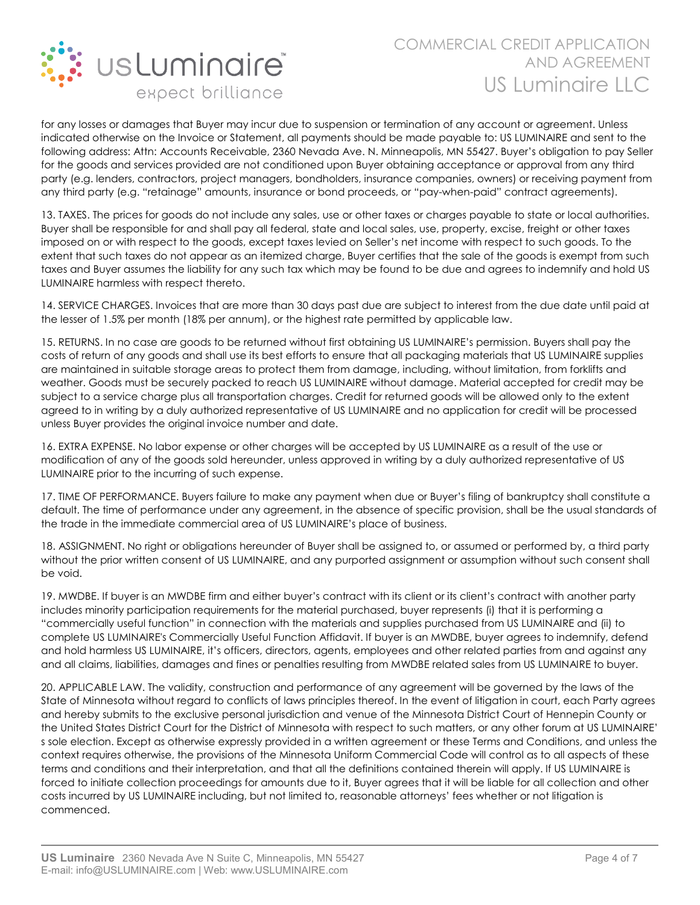

for any losses or damages that Buyer may incur due to suspension or termination of any account or agreement. Unless indicated otherwise on the Invoice or Statement, all payments should be made payable to: US LUMINAIRE and sent to the following address: Attn: Accounts Receivable, 2360 Nevada Ave. N. Minneapolis, MN 55427. Buyer's obligation to pay Seller for the goods and services provided are not conditioned upon Buyer obtaining acceptance or approval from any third party (e.g. lenders, contractors, project managers, bondholders, insurance companies, owners) or receiving payment from any third party (e.g. "retainage" amounts, insurance or bond proceeds, or "pay-when-paid" contract agreements).

13. TAXES. The prices for goods do not include any sales, use or other taxes or charges payable to state or local authorities. Buyer shall be responsible for and shall pay all federal, state and local sales, use, property, excise, freight or other taxes imposed on or with respect to the goods, except taxes levied on Seller's net income with respect to such goods. To the extent that such taxes do not appear as an itemized charge, Buyer certifies that the sale of the goods is exempt from such taxes and Buyer assumes the liability for any such tax which may be found to be due and agrees to indemnify and hold US LUMINAIRE harmless with respect thereto.

14. SERVICE CHARGES. Invoices that are more than 30 days past due are subject to interest from the due date until paid at the lesser of 1.5% per month (18% per annum), or the highest rate permitted by applicable law.

15. RETURNS. In no case are goods to be returned without first obtaining US LUMINAIRE's permission. Buyers shall pay the costs of return of any goods and shall use its best efforts to ensure that all packaging materials that US LUMINAIRE supplies are maintained in suitable storage areas to protect them from damage, including, without limitation, from forklifts and weather. Goods must be securely packed to reach US LUMINAIRE without damage. Material accepted for credit may be subject to a service charge plus all transportation charges. Credit for returned goods will be allowed only to the extent agreed to in writing by a duly authorized representative of US LUMINAIRE and no application for credit will be processed unless Buyer provides the original invoice number and date.

16. EXTRA EXPENSE. No labor expense or other charges will be accepted by US LUMINAIRE as a result of the use or modification of any of the goods sold hereunder, unless approved in writing by a duly authorized representative of US LUMINAIRE prior to the incurring of such expense.

17. TIME OF PERFORMANCE. Buyers failure to make any payment when due or Buyer's filing of bankruptcy shall constitute a default. The time of performance under any agreement, in the absence of specific provision, shall be the usual standards of the trade in the immediate commercial area of US LUMINAIRE's place of business.

18. ASSIGNMENT. No right or obligations hereunder of Buyer shall be assigned to, or assumed or performed by, a third party without the prior written consent of US LUMINAIRE, and any purported assignment or assumption without such consent shall be void.

19. MWDBE. If buyer is an MWDBE firm and either buyer's contract with its client or its client's contract with another party includes minority participation requirements for the material purchased, buyer represents (i) that it is performing a "commercially useful function" in connection with the materials and supplies purchased from US LUMINAIRE and (ii) to complete US LUMINAIRE's Commercially Useful Function Affidavit. If buyer is an MWDBE, buyer agrees to indemnify, defend and hold harmless US LUMINAIRE, it's officers, directors, agents, employees and other related parties from and against any and all claims, liabilities, damages and fines or penalties resulting from MWDBE related sales from US LUMINAIRE to buyer.

20. APPLICABLE LAW. The validity, construction and performance of any agreement will be governed by the laws of the State of Minnesota without regard to conflicts of laws principles thereof. In the event of litigation in court, each Party agrees and hereby submits to the exclusive personal jurisdiction and venue of the Minnesota District Court of Hennepin County or the United States District Court for the District of Minnesota with respect to such matters, or any other forum at US LUMINAIRE' s sole election. Except as otherwise expressly provided in a written agreement or these Terms and Conditions, and unless the context requires otherwise, the provisions of the Minnesota Uniform Commercial Code will control as to all aspects of these terms and conditions and their interpretation, and that all the definitions contained therein will apply. If US LUMINAIRE is forced to initiate collection proceedings for amounts due to it, Buyer agrees that it will be liable for all collection and other costs incurred by US LUMINAIRE including, but not limited to, reasonable attorneys' fees whether or not litigation is commenced.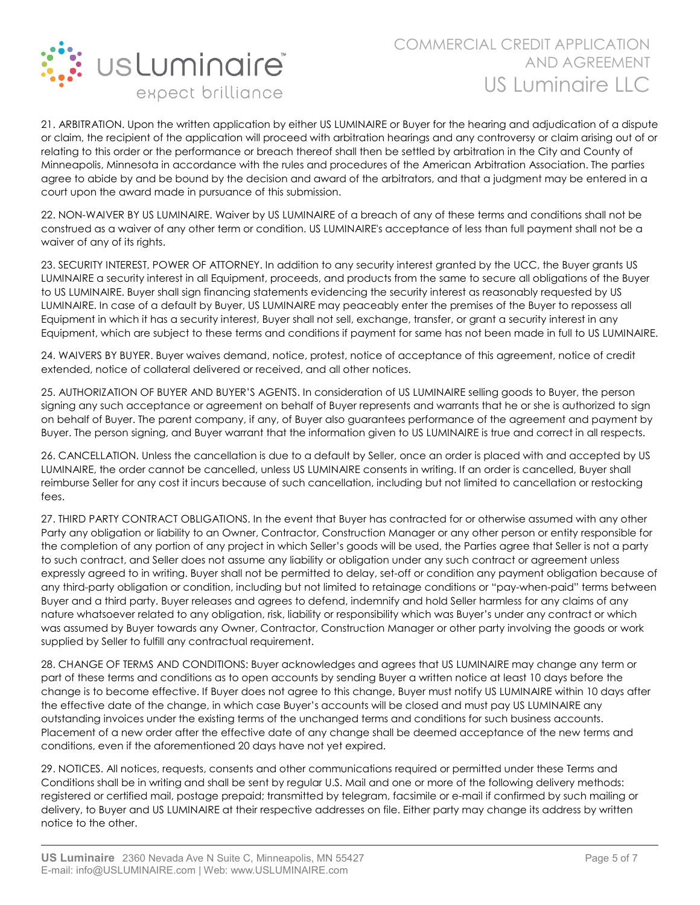

21. ARBITRATION. Upon the written application by either US LUMINAIRE or Buyer for the hearing and adjudication of a dispute or claim, the recipient of the application will proceed with arbitration hearings and any controversy or claim arising out of or relating to this order or the performance or breach thereof shall then be settled by arbitration in the City and County of Minneapolis, Minnesota in accordance with the rules and procedures of the American Arbitration Association. The parties agree to abide by and be bound by the decision and award of the arbitrators, and that a judgment may be entered in a court upon the award made in pursuance of this submission.

22. NON-WAIVER BY US LUMINAIRE. Waiver by US LUMINAIRE of a breach of any of these terms and conditions shall not be construed as a waiver of any other term or condition. US LUMINAIRE's acceptance of less than full payment shall not be a waiver of any of its rights.

23. SECURITY INTEREST, POWER OF ATTORNEY. In addition to any security interest granted by the UCC, the Buyer grants US LUMINAIRE a security interest in all Equipment, proceeds, and products from the same to secure all obligations of the Buyer to US LUMINAIRE. Buyer shall sign financing statements evidencing the security interest as reasonably requested by US LUMINAIRE. In case of a default by Buyer, US LUMINAIRE may peaceably enter the premises of the Buyer to repossess all Equipment in which it has a security interest, Buyer shall not sell, exchange, transfer, or grant a security interest in any Equipment, which are subject to these terms and conditions if payment for same has not been made in full to US LUMINAIRE.

24. WAIVERS BY BUYER. Buyer waives demand, notice, protest, notice of acceptance of this agreement, notice of credit extended, notice of collateral delivered or received, and all other notices.

25. AUTHORIZATION OF BUYER AND BUYER'S AGENTS. In consideration of US LUMINAIRE selling goods to Buyer, the person signing any such acceptance or agreement on behalf of Buyer represents and warrants that he or she is authorized to sign on behalf of Buyer. The parent company, if any, of Buyer also guarantees performance of the agreement and payment by Buyer. The person signing, and Buyer warrant that the information given to US LUMINAIRE is true and correct in all respects.

26. CANCELLATION. Unless the cancellation is due to a default by Seller, once an order is placed with and accepted by US LUMINAIRE, the order cannot be cancelled, unless US LUMINAIRE consents in writing. If an order is cancelled, Buyer shall reimburse Seller for any cost it incurs because of such cancellation, including but not limited to cancellation or restocking fees.

27. THIRD PARTY CONTRACT OBLIGATIONS. In the event that Buyer has contracted for or otherwise assumed with any other Party any obligation or liability to an Owner, Contractor, Construction Manager or any other person or entity responsible for the completion of any portion of any project in which Seller's goods will be used, the Parties agree that Seller is not a party to such contract, and Seller does not assume any liability or obligation under any such contract or agreement unless expressly agreed to in writing. Buyer shall not be permitted to delay, set-off or condition any payment obligation because of any third-party obligation or condition, including but not limited to retainage conditions or "pay-when-paid" terms between Buyer and a third party. Buyer releases and agrees to defend, indemnify and hold Seller harmless for any claims of any nature whatsoever related to any obligation, risk, liability or responsibility which was Buyer's under any contract or which was assumed by Buyer towards any Owner, Contractor, Construction Manager or other party involving the goods or work supplied by Seller to fulfill any contractual requirement.

28. CHANGE OF TERMS AND CONDITIONS: Buyer acknowledges and agrees that US LUMINAIRE may change any term or part of these terms and conditions as to open accounts by sending Buyer a written notice at least 10 days before the change is to become effective. If Buyer does not agree to this change, Buyer must notify US LUMINAIRE within 10 days after the effective date of the change, in which case Buyer's accounts will be closed and must pay US LUMINAIRE any outstanding invoices under the existing terms of the unchanged terms and conditions for such business accounts. Placement of a new order after the effective date of any change shall be deemed acceptance of the new terms and conditions, even if the aforementioned 20 days have not yet expired.

29. NOTICES. All notices, requests, consents and other communications required or permitted under these Terms and Conditions shall be in writing and shall be sent by regular U.S. Mail and one or more of the following delivery methods: registered or certified mail, postage prepaid; transmitted by telegram, facsimile or e-mail if confirmed by such mailing or delivery, to Buyer and US LUMINAIRE at their respective addresses on file. Either party may change its address by written notice to the other.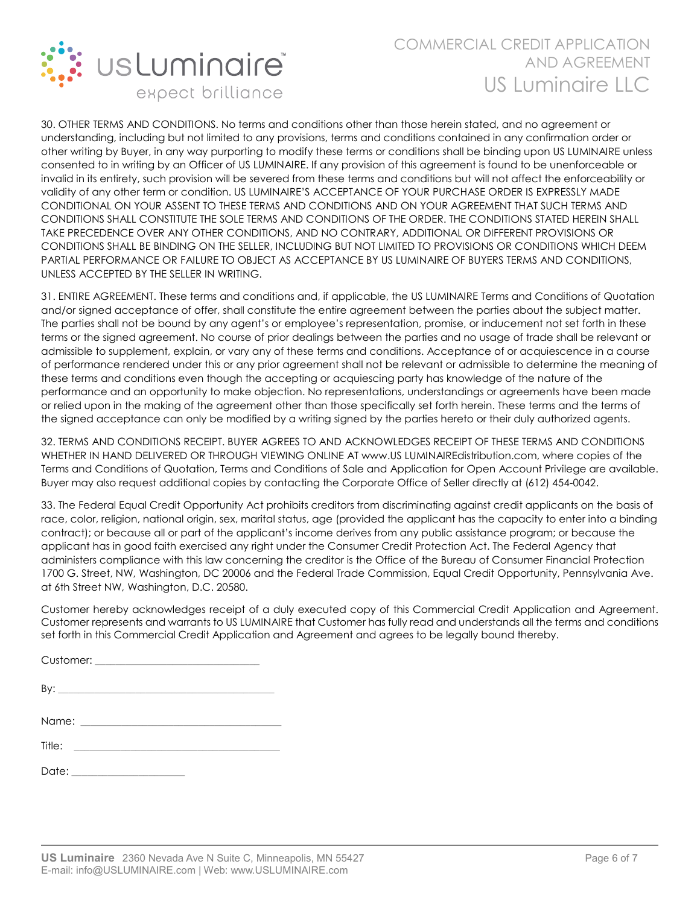

30. OTHER TERMS AND CONDITIONS. No terms and conditions other than those herein stated, and no agreement or understanding, including but not limited to any provisions, terms and conditions contained in any confirmation order or other writing by Buyer, in any way purporting to modify these terms or conditions shall be binding upon US LUMINAIRE unless consented to in writing by an Officer of US LUMINAIRE. If any provision of this agreement is found to be unenforceable or invalid in its entirety, such provision will be severed from these terms and conditions but will not affect the enforceability or validity of any other term or condition. US LUMINAIRE'S ACCEPTANCE OF YOUR PURCHASE ORDER IS EXPRESSLY MADE CONDITIONAL ON YOUR ASSENT TO THESE TERMS AND CONDITIONS AND ON YOUR AGREEMENT THAT SUCH TERMS AND CONDITIONS SHALL CONSTITUTE THE SOLE TERMS AND CONDITIONS OF THE ORDER. THE CONDITIONS STATED HEREIN SHALL TAKE PRECEDENCE OVER ANY OTHER CONDITIONS, AND NO CONTRARY, ADDITIONAL OR DIFFERENT PROVISIONS OR CONDITIONS SHALL BE BINDING ON THE SELLER, INCLUDING BUT NOT LIMITED TO PROVISIONS OR CONDITIONS WHICH DEEM PARTIAL PERFORMANCE OR FAILURE TO OBJECT AS ACCEPTANCE BY US LUMINAIRE OF BUYERS TERMS AND CONDITIONS, UNLESS ACCEPTED BY THE SELLER IN WRITING.

31. ENTIRE AGREEMENT. These terms and conditions and, if applicable, the US LUMINAIRE Terms and Conditions of Quotation and/or signed acceptance of offer, shall constitute the entire agreement between the parties about the subject matter. The parties shall not be bound by any agent's or employee's representation, promise, or inducement not set forth in these terms or the signed agreement. No course of prior dealings between the parties and no usage of trade shall be relevant or admissible to supplement, explain, or vary any of these terms and conditions. Acceptance of or acquiescence in a course of performance rendered under this or any prior agreement shall not be relevant or admissible to determine the meaning of these terms and conditions even though the accepting or acquiescing party has knowledge of the nature of the performance and an opportunity to make objection. No representations, understandings or agreements have been made or relied upon in the making of the agreement other than those specifically set forth herein. These terms and the terms of the signed acceptance can only be modified by a writing signed by the parties hereto or their duly authorized agents.

32. TERMS AND CONDITIONS RECEIPT. BUYER AGREES TO AND ACKNOWLEDGES RECEIPT OF THESE TERMS AND CONDITIONS WHETHER IN HAND DELIVERED OR THROUGH VIEWING ONLINE AT www.US LUMINAIREdistribution.com, where copies of the Terms and Conditions of Quotation, Terms and Conditions of Sale and Application for Open Account Privilege are available. Buyer may also request additional copies by contacting the Corporate Office of Seller directly at (612) 454-0042.

33. The Federal Equal Credit Opportunity Act prohibits creditors from discriminating against credit applicants on the basis of race, color, religion, national origin, sex, marital status, age (provided the applicant has the capacity to enter into a binding contract); or because all or part of the applicant's income derives from any public assistance program; or because the applicant has in good faith exercised any right under the Consumer Credit Protection Act. The Federal Agency that administers compliance with this law concerning the creditor is the Office of the Bureau of Consumer Financial Protection 1700 G. Street, NW, Washington, DC 20006 and the Federal Trade Commission, Equal Credit Opportunity, Pennsylvania Ave. at 6th Street NW, Washington, D.C. 20580.

Customer hereby acknowledges receipt of a duly executed copy of this Commercial Credit Application and Agreement. Customer represents and warrants to US LUMINAIRE that Customer has fully read and understands all the terms and conditions set forth in this Commercial Credit Application and Agreement and agrees to be legally bound thereby.

| Customer: |
|-----------|
|-----------|

|--|

| Name: |  |  |  |
|-------|--|--|--|
|       |  |  |  |

| Title: |  |  |  |
|--------|--|--|--|
|        |  |  |  |
| Data.  |  |  |  |